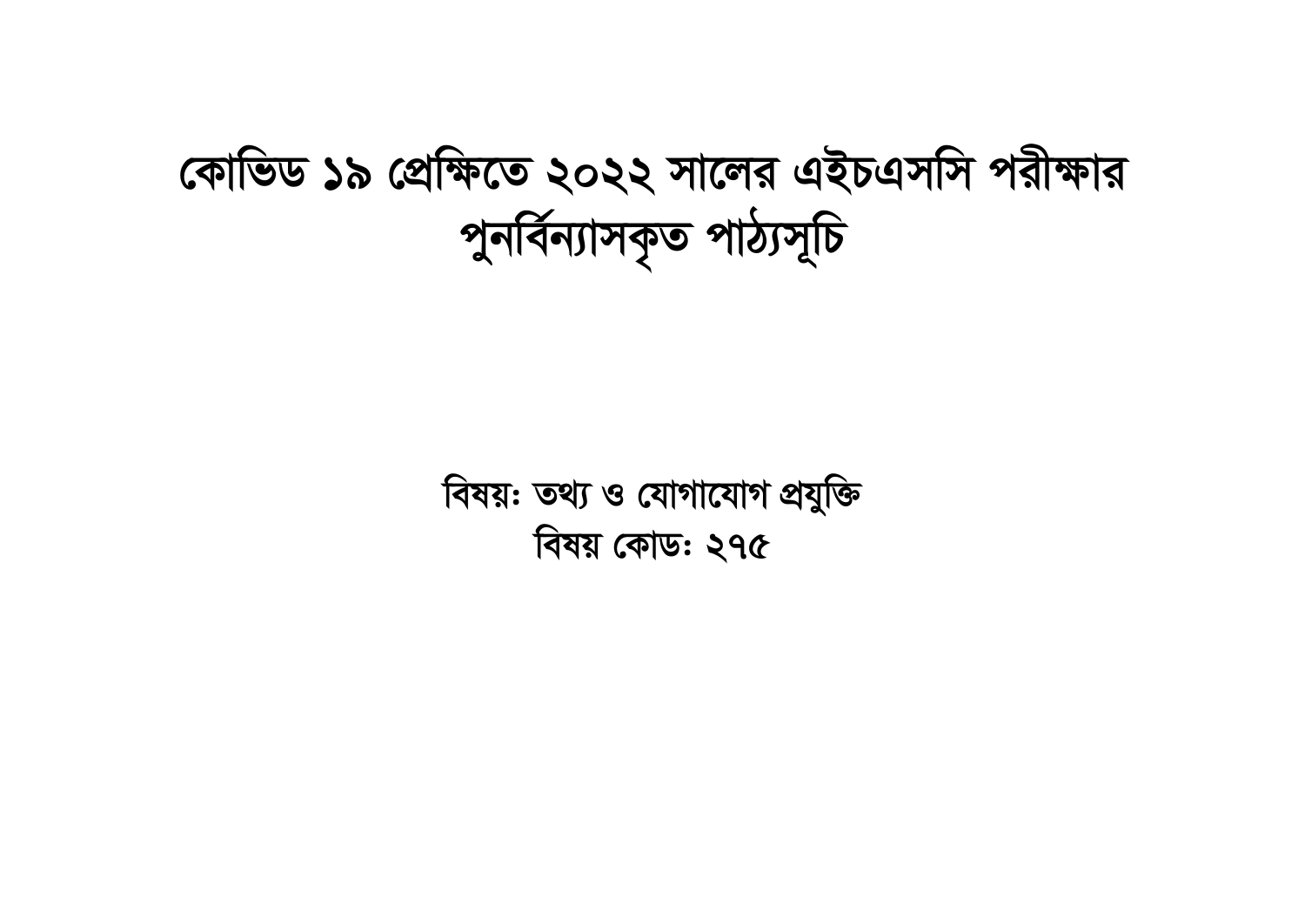## কোভিড ১৯ প্রেক্ষিতে ২০২২ সালের এইচএসসি পরীক্ষার পুনর্বিন্যাসকৃত পাঠ্যসূচি

বিষয়: তথ্য ও যোগাযোগ প্রযুক্তি বিষয় কোড: ২৭৫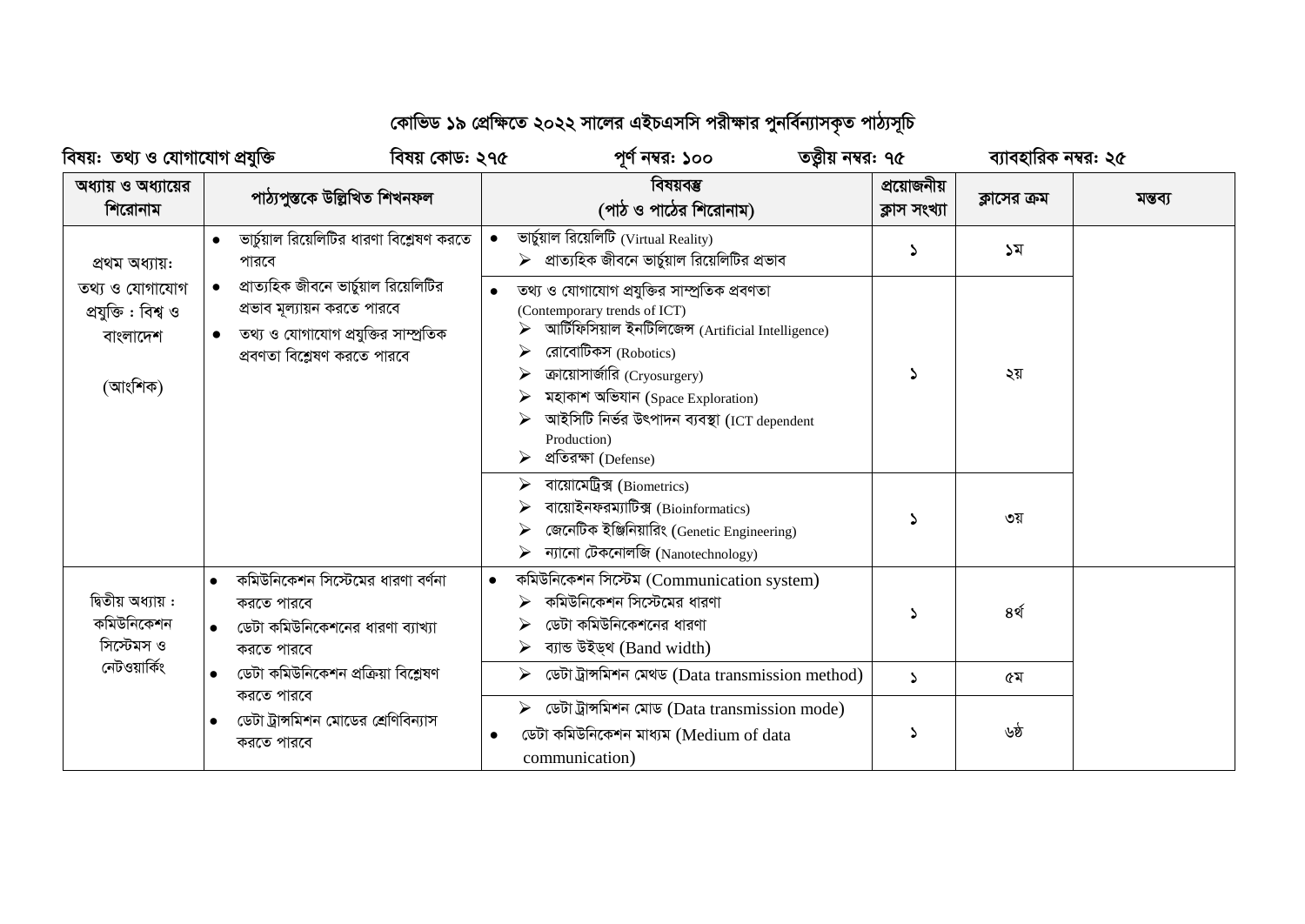## কোভিড ১৯ প্রেক্ষিতে ২০২২ সালের এইচএসসি পরীক্ষার পুনর্বিন্যাসকৃত পাঠ্যসূচি

| বিষয়:  তথ্য ও যোগাযোগ প্রযুক্তি                             |                                                                                                                                                           | বিষয় কোড: ২৭৫ | তত্ত্বীয় নম্বর: ৭৫<br>পূর্ণ নম্বর: ১০০                                                                                                                                                                                                                                                                                                                                                       |                             | ব্যাবহারিক নম্বর: ২৫ |         |
|--------------------------------------------------------------|-----------------------------------------------------------------------------------------------------------------------------------------------------------|----------------|-----------------------------------------------------------------------------------------------------------------------------------------------------------------------------------------------------------------------------------------------------------------------------------------------------------------------------------------------------------------------------------------------|-----------------------------|----------------------|---------|
| অধ্যায় ও অধ্যায়ের<br>শিরোনাম                               | পাঠ্যপুস্তকে উল্লিখিত শিখনফল                                                                                                                              |                | বিষয়বম্ভ<br>(পাঠ ও পাঠের শিরোনাম)                                                                                                                                                                                                                                                                                                                                                            | প্রয়োজনীয়<br>ক্লাস সংখ্যা | ক্লাসের ক্রম         | মন্তব্য |
| প্ৰথম অধ্যায়:                                               | ভার্চুয়াল রিয়েলিটির ধারণা বিশ্লেষণ করতে<br>পারবে                                                                                                        |                | ভাৰ্চুয়াল রিয়েলিটি (Virtual Reality)<br>$\triangleright$ প্রাত্যহিক জীবনে ভার্চুয়াল রিয়েলিটির প্রভাব                                                                                                                                                                                                                                                                                      | Σ                           | ১ম                   |         |
| তথ্য ও যোগাযোগ<br>প্ৰযুক্তি : বিশ্ব ও<br>বাংলাদেশ<br>(আংশিক) | প্রাত্যহিক জীবনে ভার্চুয়াল রিয়েলিটির<br>$\bullet$<br>প্রভাব মূল্যায়ন করতে পারবে<br>তথ্য ও যোগাযোগ প্রযুক্তির সাম্প্রতিক<br>প্ৰবণতা বিশ্লেষণ করতে পারবে |                | তথ্য ও যোগাযোগ প্রযুক্তির সাম্প্রতিক প্রবণতা<br>(Contemporary trends of ICT)<br>আৰ্টিফিসিয়াল ইনটিলিজেন্স (Artificial Intelligence)<br>রোবোটিকস (Robotics)<br>ক্রায়োসার্জারি (Cryosurgery)<br>মহাকাশ অভিযান (Space Exploration)<br>আইসিটি নিৰ্ভর উৎপাদন ব্যবস্থা (ICT dependent<br>Production)<br>প্ৰতিরক্ষা (Defense)<br>বায়োমেট্রিক্স (Biometrics)<br>বায়োইনফরম্যাটিক্স (Bioinformatics) |                             | ২য়                  |         |
|                                                              |                                                                                                                                                           |                | জেনেটিক ইঞ্জিনিয়ারিং (Genetic Engineering)<br>ন্যানো টেকনোলজি (Nanotechnology)                                                                                                                                                                                                                                                                                                               |                             | ৩য়                  |         |
| দ্বিতীয় অধ্যায় :<br>কমিউনিকেশন<br>সিস্টেমস ও               | কমিউনিকেশন সিস্টেমের ধারণা বর্ণনা<br>করতে পারবে<br>ডেটা কমিউনিকেশনের ধারণা ব্যাখ্যা<br>করতে পারবে                                                         |                | কমিউনিকেশন সিস্টেম (Communication system)<br>কমিউনিকেশন সিস্টেমের ধারণা<br>ডেটা কমিউনিকেশনের ধারণা<br>ব্যান্ড উইড্থ (Band width)<br>➤                                                                                                                                                                                                                                                         | Σ                           | ৪র্থ                 |         |
| নেটওয়ার্কিং                                                 | ডেটা কমিউনিকেশন প্রক্রিয়া বিশ্লেষণ                                                                                                                       |                | ডেটা ট্রান্সমিশন মেথড (Data transmission method)                                                                                                                                                                                                                                                                                                                                              | ډ                           | ৫ম                   |         |
|                                                              | করতে পারবে<br>ডেটা ট্রান্সমিশন মোডের শ্রেণিবিন্যাস<br>করতে পারবে                                                                                          | $\bullet$      | ডেটা ট্রান্সমিশন মোড (Data transmission mode)<br>ডেটা কমিউনিকেশন মাধ্যম (Medium of data<br>communication)                                                                                                                                                                                                                                                                                     | ۵                           | ৬ষ্ঠ                 |         |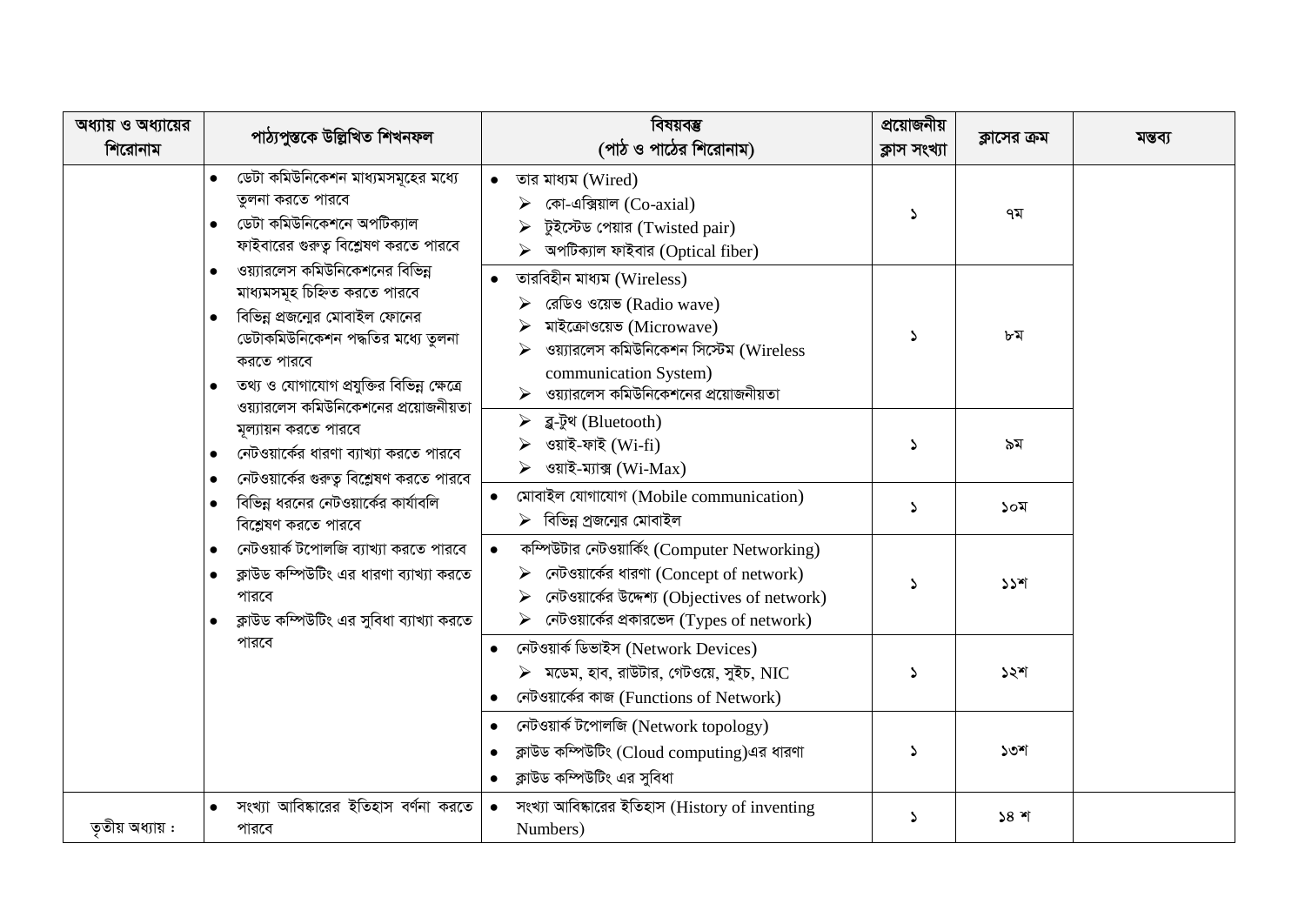| অধ্যায় ও অধ্যায়ের<br>শিরোনাম | পাঠ্যপুস্তকে উল্লিখিত শিখনফল                                                                                                                                                                               | বিষয়বম্ভ<br>(পাঠ ও পাঠের শিরোনাম)                                                                                                                                                                               | প্রয়োজনীয়<br>ক্লাস সংখ্যা | ক্লাসের ক্রম | মন্তব্য |
|--------------------------------|------------------------------------------------------------------------------------------------------------------------------------------------------------------------------------------------------------|------------------------------------------------------------------------------------------------------------------------------------------------------------------------------------------------------------------|-----------------------------|--------------|---------|
|                                | ডেটা কমিউনিকেশন মাধ্যমসমূহের মধ্যে<br>তুলনা করতে পারবে<br>ডেটা কমিউনিকেশনে অপটিক্যাল<br>ফাইবারের গুরুত্ব বিশ্লেষণ করতে পারবে<br>ওয়্যারলেস কমিউনিকেশনের বিভিন্ন<br>$\bullet$                               | তার মাধ্যম (Wired)<br>কো-এক্সিয়াল (Co- $axial$ )<br>টুইস্টেড পেয়ার (Twisted pair)<br>অপটিক্যাল ফাইবার (Optical fiber)                                                                                          | $\Delta$                    | ৭ম           |         |
|                                | মাধ্যমসমূহ চিহ্নিত করতে পারবে<br>বিভিন্ন প্রজন্মের মোবাইল ফোনের<br>ডেটাকমিউনিকেশন পদ্ধতির মধ্যে তুলনা<br>করতে পারবে<br>তথ্য ও যোগাযোগ প্রযুক্তির বিভিন্ন ক্ষেত্রে<br>ওয়্যারলেস কমিউনিকেশনের প্রয়োজনীয়তা | তারবিহীন মাধ্যম (Wireless)<br>$\triangleright$ রেডিও ওয়েভ (Radio wave)<br>মাইক্রোওয়েভ (Microwave)<br>ওয়্যারলেস কমিউনিকেশন সিস্টেম (Wireless<br>communication System)<br>ওয়্যারলেস কমিউনিকেশনের প্রয়োজনীয়তা | Δ                           | ৮ম           |         |
|                                | মূল্যায়ন করতে পারবে<br>নেটওয়ার্কের ধারণা ব্যাখ্যা করতে পারবে<br>নেটওয়ার্কের গুরুত্ব বিশ্লেষণ করতে পারবে                                                                                                 | ▶ ব্লু-টুথ (Bluetooth)<br>ওয়াই-ফাই (Wi-fi)<br>ওয়াই-ম্যাক্স (Wi-Max)<br>➤                                                                                                                                       | د                           | ৯ম           |         |
|                                | বিভিন্ন ধরনের নেটওয়ার্কের কার্যাবলি<br>বিশ্লেষণ করতে পারবে                                                                                                                                                | মোবাইল যোগাযোগ (Mobile communication)<br>$\triangleright$ বিভিন্ন প্রজন্মের মোবাইল                                                                                                                               | $\Delta$                    | ১০ম          |         |
|                                | নেটওয়ার্ক টপোলজি ব্যাখ্যা করতে পারবে<br>ক্লাউড কম্পিউটিং এর ধারণা ব্যাখ্যা করতে<br>পারবে<br>ক্লাউড কম্পিউটিং এর সুবিধা ব্যাখ্যা করতে                                                                      | কম্পিউটার নেটওয়ার্কিং (Computer Networking)<br>$\bullet$<br>নেটওয়ার্কের ধারণা (Concept of network)<br>নেটওয়ার্কের উদ্দেশ্য (Objectives of network)<br>নেটওয়ার্কের প্রকারভেদ (Types of network)               | Δ                           | $55$ *       |         |
|                                | পারবে                                                                                                                                                                                                      | নেটওয়াৰ্ক ডিভাইস (Network Devices)<br>$\triangleright$ মডেম, হাব, রাউটার, গেটওয়ে, সুইচ, NIC<br>নেটওয়ার্কের কাজ (Functions of Network)                                                                         | 2                           | ১২শ          |         |
|                                |                                                                                                                                                                                                            | নেটওয়ার্ক টপোলজি (Network topology)<br>ক্লাউড কম্পিউটিং (Cloud computing)এর ধারণা<br>ক্লাউড কম্পিউটিং এর সুবিধা                                                                                                 | Δ                           | ১৩শ          |         |
| ততীয় অধ্যায় :                | সংখ্যা আবিষ্কারের ইতিহাস বর্ণনা করতে<br>পারবে                                                                                                                                                              | সংখ্যা আবিষ্কারের ইতিহাস (History of inventing<br>Numbers)                                                                                                                                                       | د                           | $58$ শ       |         |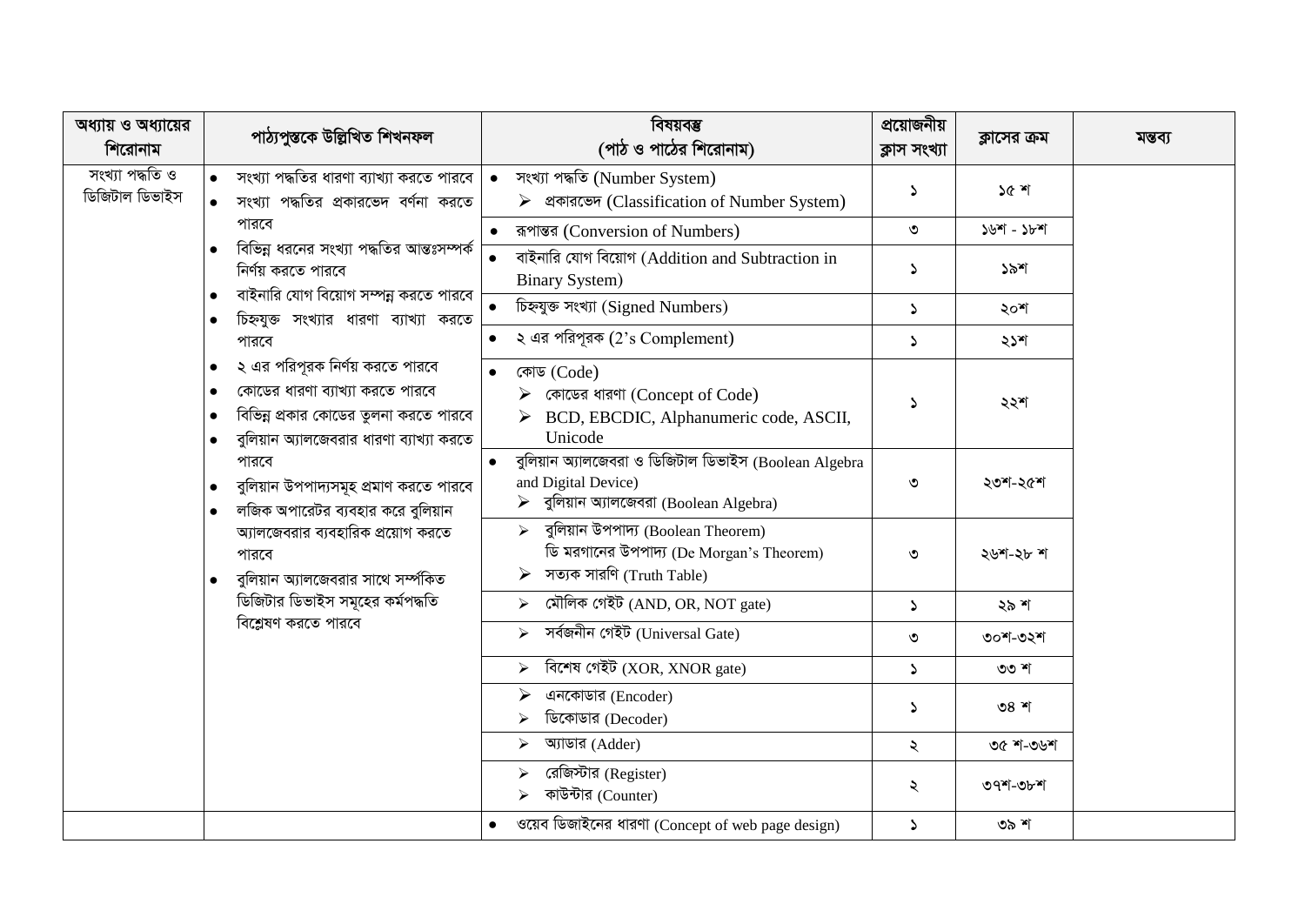| অধ্যায় ও অধ্যায়ের<br>শিরোনাম    | পাঠ্যপুস্তকে উল্লিখিত শিখনফল                                                                                                                                                                                                                                                                                                                                                 | বিষয়বম্ভ<br>(পাঠ ও পাঠের শিরোনাম)                                                                                                        | প্রয়োজনীয়<br>ক্লাস সংখ্যা | ক্লাসের ক্রম | মন্তব্য |
|-----------------------------------|------------------------------------------------------------------------------------------------------------------------------------------------------------------------------------------------------------------------------------------------------------------------------------------------------------------------------------------------------------------------------|-------------------------------------------------------------------------------------------------------------------------------------------|-----------------------------|--------------|---------|
| সংখ্যা পদ্ধতি ও<br>ডিজিটাল ডিভাইস | সংখ্যা পদ্ধতির ধারণা ব্যাখ্যা করতে পারবে<br>সংখ্যা পদ্ধতির প্রকারভেদ বর্ণনা করতে                                                                                                                                                                                                                                                                                             | সংখ্যা পদ্ধতি (Number System)<br>▶ থকারভেদ (Classification of Number System)                                                              | S                           | ১৫ শ         |         |
|                                   | পারবে                                                                                                                                                                                                                                                                                                                                                                        | ৰূপান্তর (Conversion of Numbers)<br>$\bullet$                                                                                             | ৩                           | $50 - 50$    |         |
|                                   | বিভিন্ন ধরনের সংখ্যা পদ্ধতির আন্তঃসম্পর্ক<br>নির্ণয় করতে পারবে                                                                                                                                                                                                                                                                                                              | বাইনারি যোগ বিয়োগ (Addition and Subtraction in<br><b>Binary System)</b>                                                                  | $\mathcal{L}$               | ১৯শ          |         |
|                                   | বাইনারি যোগ বিয়োগ সম্পন্ন করতে পারবে<br>চিহ্নযুক্ত সংখ্যার ধারণা ব্যাখ্যা করতে<br>$\bullet$                                                                                                                                                                                                                                                                                 | চিহ্নযুক্ত সংখ্যা (Signed Numbers)                                                                                                        | $\blacktriangleright$       | ২০শ          |         |
|                                   | পারবে                                                                                                                                                                                                                                                                                                                                                                        | ২ এর পরিপূরক $(2)$ 's Complement)                                                                                                         | $\blacktriangleright$       | ২১শ          |         |
|                                   | ২ এর পরিপূরক নির্ণয় করতে পারবে<br>$\bullet$<br>কোডের ধারণা ব্যাখ্যা করতে পারবে<br>বিভিন্ন প্রকার কোডের তুলনা করতে পারবে<br>$\bullet$<br>বুলিয়ান অ্যালজেবরার ধারণা ব্যাখ্যা করতে<br>পারবে<br>বুলিয়ান উপপাদ্যসমূহ প্রমাণ করতে পারবে<br>$\bullet$<br>লজিক অপারেটর ব্যবহার করে বুলিয়ান<br>অ্যালজেবরার ব্যবহারিক প্রয়োগ করতে<br>পারবে<br>বুলিয়ান অ্যালজেবরার সাথে সর্ম্পকিত | কোড (Code)<br>$\bullet$<br>কোডের ধারণা (Concept of Code)<br>BCD, EBCDIC, Alphanumeric code, ASCII,<br>Unicode                             | $\Delta$                    | ২২শ          |         |
|                                   |                                                                                                                                                                                                                                                                                                                                                                              | বুলিয়ান অ্যালজেবরা ও ডিজিটাল ডিভাইস (Boolean Algebra<br>and Digital Device)<br>$\triangleright$ বুলিয়ান অ্যালজেবরা (Boolean Algebra)    | ৩                           | ২৩শ-২৫শ      |         |
|                                   |                                                                                                                                                                                                                                                                                                                                                                              | বুলিয়ান উপপাদ্য (Boolean Theorem)<br>$\blacktriangleright$<br>ডি মরগানের উপপাদ্য (De Morgan's Theorem)<br>সত্যক সারণি (Truth Table)<br>➤ | ৩                           | ২৬শ-২৮ শ     |         |
|                                   | ডিজিটার ডিভাইস সমূহের কর্মপদ্ধতি                                                                                                                                                                                                                                                                                                                                             | মৌলিক গেইট (AND, OR, NOT gate)<br>➤                                                                                                       | $\Delta$                    | ২৯ শ         |         |
|                                   | বিশ্লেষণ করতে পারবে                                                                                                                                                                                                                                                                                                                                                          | সৰ্বজনীন গেইট (Universal Gate)<br>$\blacktriangle$                                                                                        | ৩                           | ৩০শ-৩২শ      |         |
|                                   |                                                                                                                                                                                                                                                                                                                                                                              | বিশেষ গেইট (XOR, XNOR gate)<br>$\blacktriangleright$                                                                                      | $\Delta$                    | ৩৩ শ         |         |
|                                   |                                                                                                                                                                                                                                                                                                                                                                              | এনকোডার (Encoder)<br>⋗<br>ডিকোডার (Decoder)                                                                                               | $\Delta$                    | ৩৪ শ         |         |
|                                   |                                                                                                                                                                                                                                                                                                                                                                              | অ্যাডার (Adder)<br>⋗                                                                                                                      | ২                           | ৩৫ শ-৩৬শ     |         |
|                                   |                                                                                                                                                                                                                                                                                                                                                                              | রেজিস্টার (Register)<br>কাউন্টার (Counter)                                                                                                | ২                           | ৩৭শ-৩৮শ      |         |
|                                   |                                                                                                                                                                                                                                                                                                                                                                              | ওয়েব ডিজাইনের ধারণা (Concept of web page design)<br>$\bullet$                                                                            | $\Delta$                    | ৩৯ শ         |         |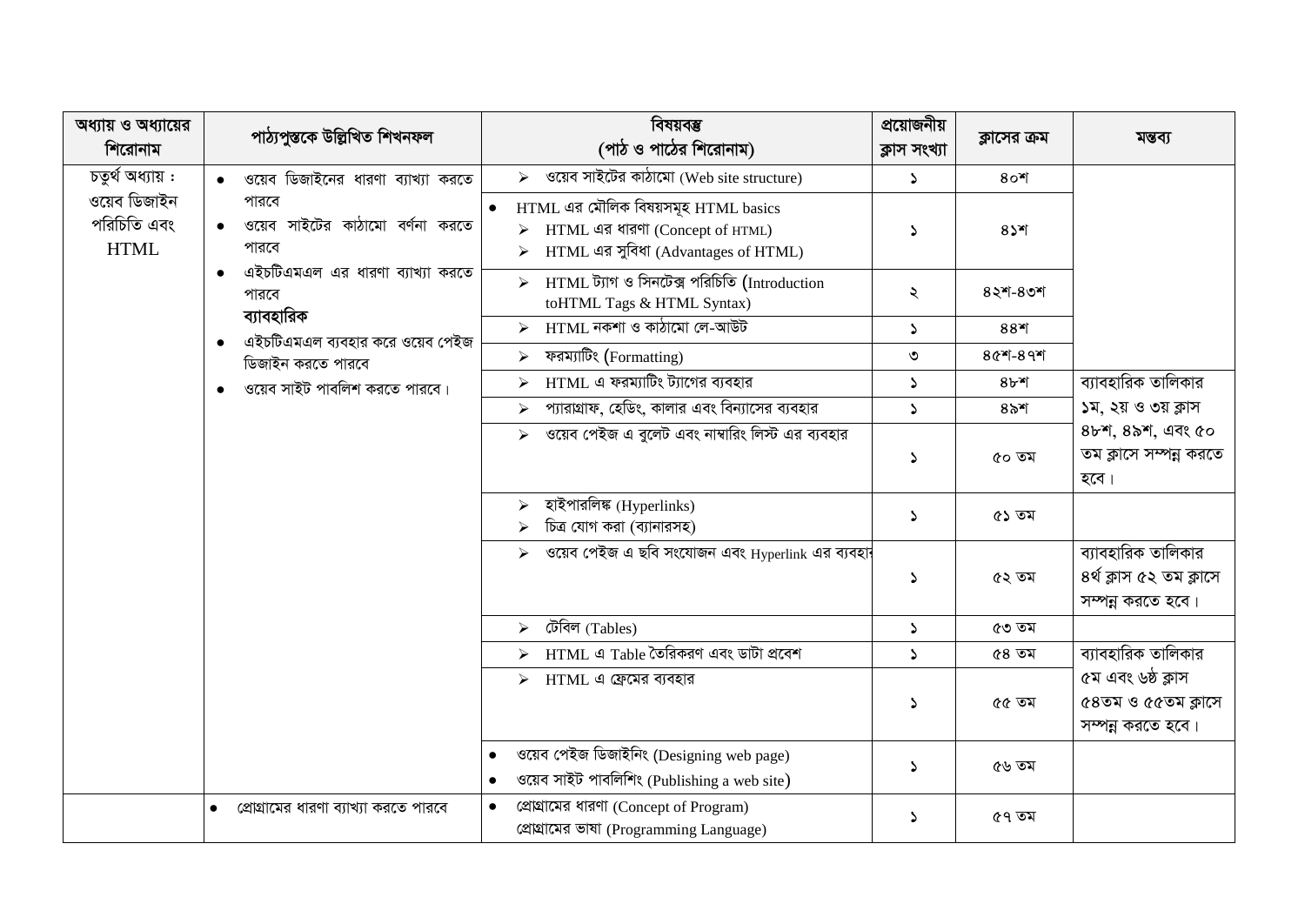| অধ্যায় ও অধ্যায়ের<br>শিরোনাম             | পাঠ্যপুস্তকে উল্লিখিত শিখনফল                            | বিষয়বম্ভ<br>(পাঠ ও পাঠের শিরোনাম)                                                                              | প্রয়োজনীয়<br>ক্লাস সংখ্যা | ক্লাসের ক্রম   | মন্তব্য                                                            |
|--------------------------------------------|---------------------------------------------------------|-----------------------------------------------------------------------------------------------------------------|-----------------------------|----------------|--------------------------------------------------------------------|
| চতুৰ্থ অধ্যায় :                           | ওয়েব ডিজাইনের ধারণা ব্যাখ্যা করতে                      | $\overline{\triangleright}$ ওয়েব সাইটের কাঠামো (Web site structure)                                            | $\mathcal{L}$               | $8o$ শ         |                                                                    |
| ওয়েব ডিজাইন<br>পরিচিতি এবং<br><b>HTML</b> | পারবে<br>ওয়েব সাইটের কাঠামো বর্ণনা করতে<br>পারবে       | HTML এর মৌলিক বিষয়সমূহ HTML basics<br>▶ HTML এর ধারণা (Concept of HTML)<br>HTML এর সুবিধা (Advantages of HTML) | $\mathcal{L}$               | $85$ ग         |                                                                    |
|                                            | এইচটিএমএল এর ধারণা ব্যাখ্যা করতে<br>পারবে<br>ব্যাবহারিক | HTML ট্যাগ ও সিনটেক্স পরিচিতি (Introduction<br>$\blacktriangleright$<br>toHTML Tags & HTML Syntax)              | ২                           | $82$ $-80$ $-$ |                                                                    |
|                                            | এইচটিএমএল ব্যবহার করে ওয়েব পেইজ                        | $>$ HTML নকশা ও কাঠামো লে-আউট                                                                                   | $\blacktriangleright$       | $88$ *         |                                                                    |
|                                            | ডিজাইন করতে পারবে                                       | ফরম্যাটিং (Formatting)<br>$\blacktriangleright$                                                                 | ৩                           | $80 - 89$      |                                                                    |
|                                            | ওয়েব সাইট পাবলিশ করতে পারবে।                           | $HTML$ এ ফরম্যাটিং ট্যাগের ব্যবহার<br>$\blacktriangleright$                                                     | $\blacktriangleright$       | $8b$ *         | ব্যাবহারিক তালিকার                                                 |
|                                            |                                                         | প্যারাগ্রাফ, হেডিং, কালার এবং বিন্যাসের ব্যবহার<br>$\blacktriangleright$                                        | $\blacktriangleright$       | $85$ শ         | ১ম, ২য় ও ৩য় ক্লাস                                                |
|                                            |                                                         | ওয়েব পেইজ এ বুলেট এবং নাম্বারিং লিস্ট এর ব্যবহার<br>$\blacktriangleright$                                      | $\mathcal{L}$               | ৫০ তম          | $8b$ শ, $8b$ শ, এবং ৫০<br>তম ক্লাসে সম্পন্ন করতে<br>হবে।           |
|                                            |                                                         | হাইপারলিঙ্ক (Hyperlinks)<br>$\blacktriangleright$<br>চিত্র যোগ করা (ব্যানারসহ)                                  | $\blacktriangleright$       | ৫১ তম          |                                                                    |
|                                            |                                                         | ওয়েব পেইজ এ ছবি সংযোজন এবং Hyperlink এর ব্যবহা <del>:</del>                                                    | $\mathcal{L}$               | ৫২ তম          | ব্যাবহারিক তালিকার<br>৪ৰ্থ ক্লাস ৫২ তম ক্লাসে<br>সম্পন্ন করতে হবে। |
|                                            |                                                         | টেবিল $(Tables)$<br>$\blacktriangleright$                                                                       | $\Delta$                    | ৫৩ তম          |                                                                    |
|                                            |                                                         | HTML এ Table তৈরিকরণ এবং ডাটা প্রবেশ                                                                            | $\blacktriangleright$       | ৫৪ তম          | ব্যাবহারিক তালিকার                                                 |
|                                            |                                                         | $\triangleright$ HTML এ ফ্রেমের ব্যবহার                                                                         | $\Delta$                    | ৫৫ তম          | ৫ম এবং ৬ষ্ঠ ক্লাস<br>৫৪তম ও ৫৫তম ক্লাসে<br>সম্পন্ন করতে হবে।       |
|                                            |                                                         | ওয়েব পেইজ ডিজাইনিং (Designing web page)<br>ওয়েব সাইট পাবলিশিং (Publishing a web site)                         | $\Delta$                    | ৫৬ তম          |                                                                    |
|                                            | প্রোগ্রামের ধারণা ব্যাখ্যা করতে পারবে                   | প্ৰোগ্ৰামের ধারণা (Concept of Program)<br>প্ৰোহামের ভাষা (Programming Language)                                 | $\blacktriangleright$       | ৫৭ তম          |                                                                    |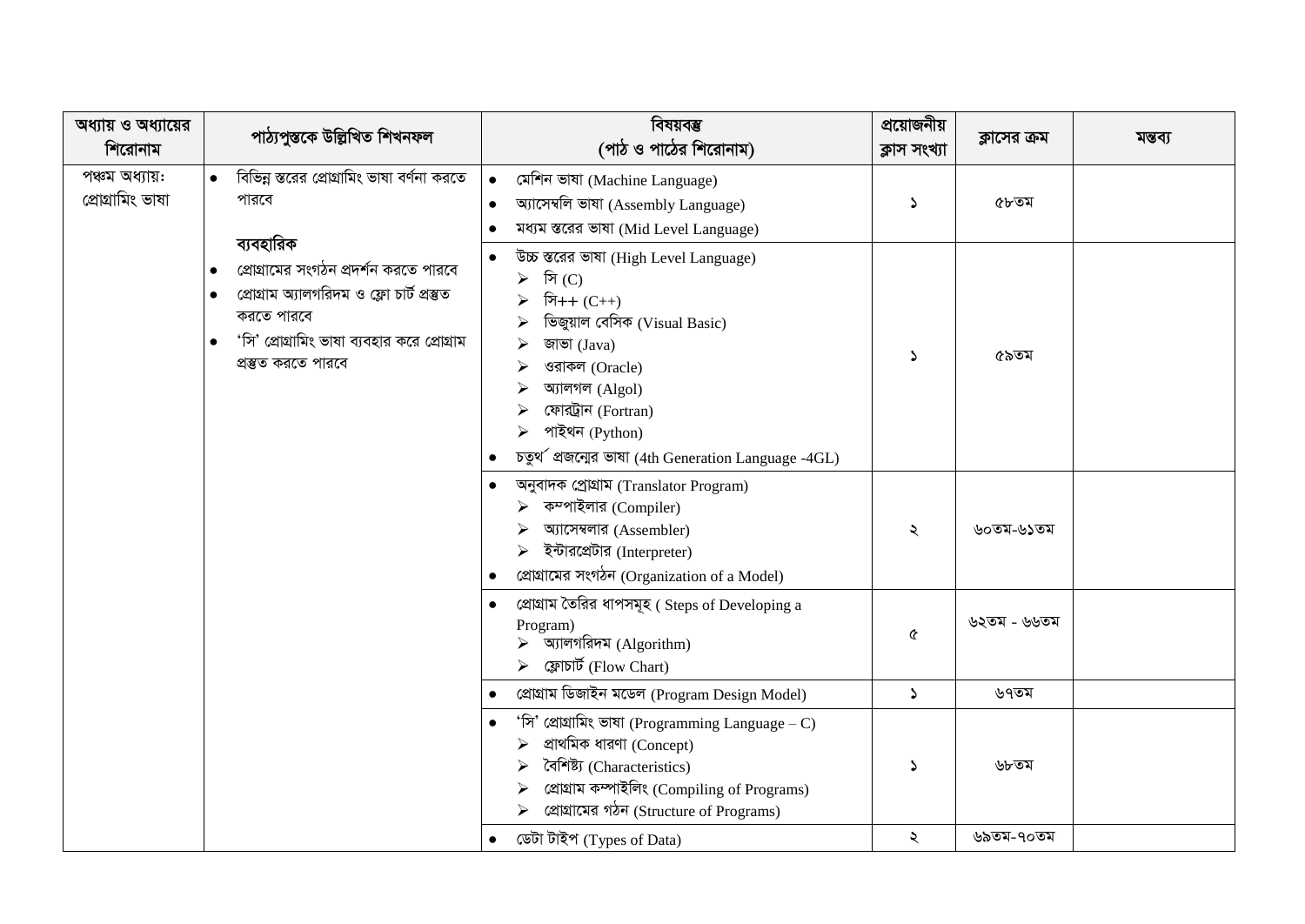| অধ্যায় ও অধ্যায়ের<br>শিরোনাম     | পাঠ্যপুস্তকে উল্লিখিত শিখনফল                                                                                                                                                                                   | বিষয়বস্তু<br>(পাঠ ও পাঠের শিরোনাম)                                                                                                                                                                                                                                             | প্রয়োজনীয়<br>ক্লাস সংখ্যা | ক্লাসের ক্রম | মন্তব্য |
|------------------------------------|----------------------------------------------------------------------------------------------------------------------------------------------------------------------------------------------------------------|---------------------------------------------------------------------------------------------------------------------------------------------------------------------------------------------------------------------------------------------------------------------------------|-----------------------------|--------------|---------|
| পঞ্চম অধ্যায়:<br>প্ৰোগ্ৰামিং ভাষা | বিভিন্ন স্তরের প্রোগ্রামিং ভাষা বর্ণনা করতে<br>পারবে<br>ব্যবহারিক                                                                                                                                              | মেশিন ভাষা (Machine Language)<br>$\bullet$<br>অ্যাসেম্বলি ভাষা (Assembly Language)<br>মধ্যম স্তরের ভাষা (Mid Level Language)                                                                                                                                                    | $\Delta$                    | ৫৮তম         |         |
|                                    | প্রোগ্রামের সংগঠন প্রদর্শন করতে পারবে<br>$\bullet$<br>প্ৰোগ্ৰাম অ্যালগৱিদম ও ফ্লো চাৰ্ট প্ৰস্তুত<br>$\bullet$<br>করতে পারবে<br>'সি' প্রোগ্রামিং ভাষা ব্যবহার করে প্রোগ্রাম<br>$\bullet$<br>প্ৰস্তুত করতে পারবে | উচ্চ স্তরের ভাষা (High Level Language)<br>সি $(C)$<br>$\blacktriangleright$<br>সি++ $(C++)$<br>ভিজুয়াল বেসিক (Visual Basic)<br>জাভা (Java)<br>ওরাকল (Oracle)<br>আগল (Algol)<br>ফোরট্রান (Fortran)<br>পাইথন (Python)<br>⋗<br>চতুৰ্থ প্ৰজনোৱ ভাষা (4th Generation Language -4GL) | $\Delta$                    | ৫৯তম         |         |
|                                    |                                                                                                                                                                                                                | অনুবাদক প্ৰোগ্ৰাম (Translator Program)<br>কম্পাইলার (Compiler)<br>অ্যাসেম্বলার (Assembler)<br>ইন্টারপ্রেটার (Interpreter)<br>প্ৰোগ্ৰামের সংগঠন (Organization of a Model)                                                                                                        | ২                           | ৬০তম-৬১তম    |         |
|                                    |                                                                                                                                                                                                                | প্রোগ্রাম তৈরির ধাপসমূহ ( Steps of Developing a<br>Program)<br>$\triangleright$ অ্যালগরিদম (Algorithm)<br>ফ্লোচাৰ্ট (Flow Chart)                                                                                                                                                | Q                           | ৬২তম - ৬৬তম  |         |
|                                    |                                                                                                                                                                                                                | প্ৰোগ্ৰাম ডিজাইন মডেল (Program Design Model)                                                                                                                                                                                                                                    | $\Delta$                    | ৬৭তম         |         |
|                                    |                                                                                                                                                                                                                | 'সি' প্রোগ্রামিং ভাষা (Programming Language – C)<br>প্ৰাথমিক ধারণা (Concept)<br>বৈশিষ্ট্য (Characteristics)<br>প্ৰোগ্ৰাম কম্পাইলিং (Compiling of Programs)<br>প্রোগ্রামের গঠন (Structure of Programs)                                                                           | د.                          | ৬৮তম         |         |
|                                    |                                                                                                                                                                                                                | ডেটা টাইপ (Types of Data)<br>$\bullet$                                                                                                                                                                                                                                          | ২                           | ৬৯তম-৭০তম    |         |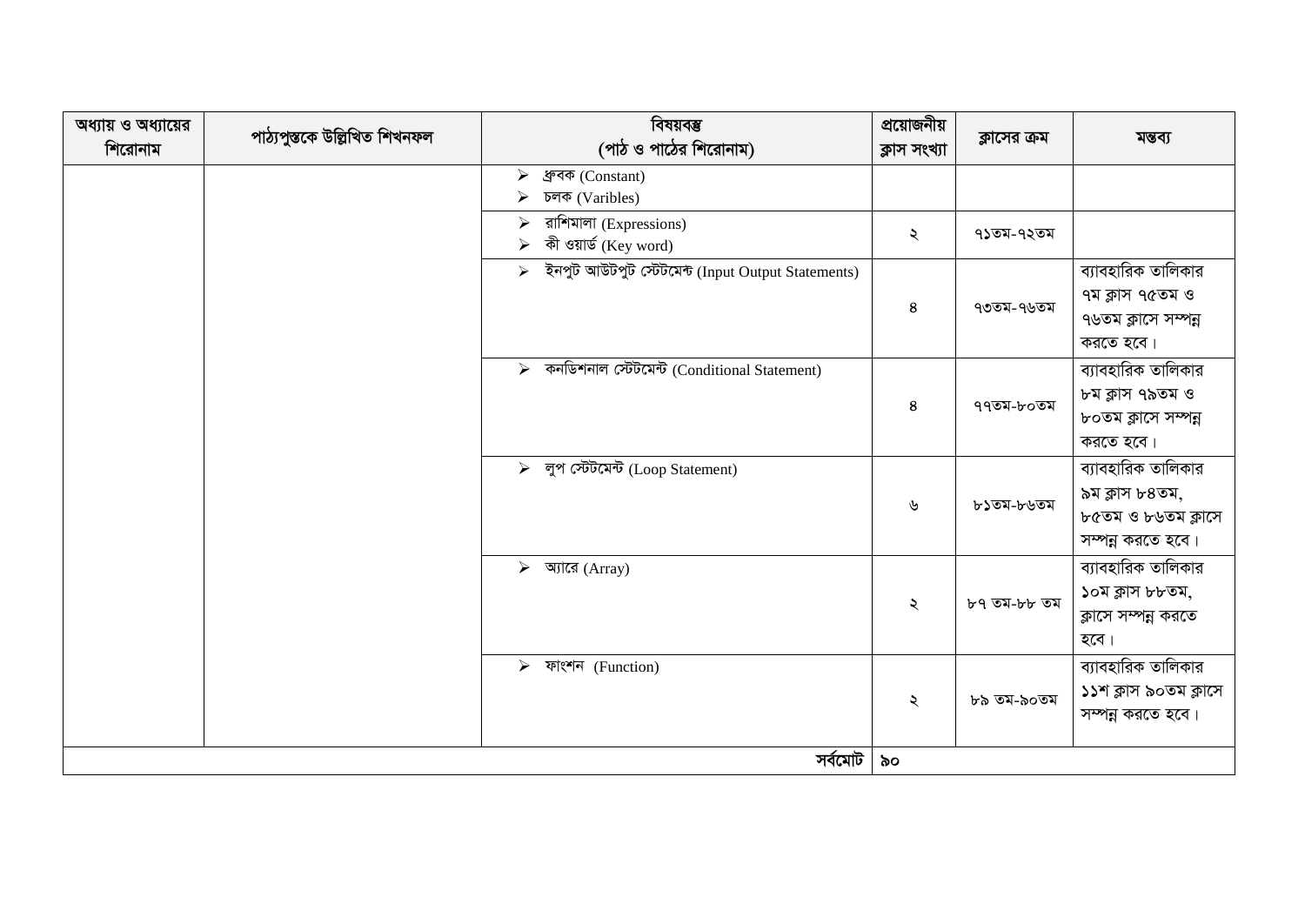| অধ্যায় ও অধ্যায়ের<br>শিরোনাম | পাঠ্যপুস্তকে উল্লিখিত শিখনফল | বিষয়বম্ভ<br>(পাঠ ও পাঠের শিরোনাম)                                         | প্রয়োজনীয়<br>ক্লাস সংখ্যা | ক্লাসের ক্রম | মন্তব্য                                                                         |
|--------------------------------|------------------------------|----------------------------------------------------------------------------|-----------------------------|--------------|---------------------------------------------------------------------------------|
|                                |                              | ধ্ৰুবক (Constant)<br>➤<br>চলক (Varibles)<br>⋗                              |                             |              |                                                                                 |
|                                |                              | রাশিমালা (Expressions)<br>$\blacktriangleright$<br>কী ওয়ার্ড (Key word)   | ২                           | ৭১তম-৭২তম    |                                                                                 |
|                                |                              | ইনপুট আউটপুট স্টেটমেন্ট (Input Output Statements)<br>$\blacktriangleright$ | $\bf 8$                     | ৭৩তম-৭৬তম    | ব্যাবহারিক তালিকার<br>৭ম ক্লাস ৭৫তম ও<br>৭৬তম ক্লাসে সম্পন্ন<br>করতে হবে।       |
|                                |                              | কনডিশনাল স্টেটমেন্ট (Conditional Statement)<br>$\blacktriangleright$       | 8                           | ৭৭তম-৮০তম    | ব্যাবহারিক তালিকার<br>৮ম ক্লাস ৭৯তম ও<br>৮০তম ক্লাসে সম্পন্ন<br>করতে হবে।       |
|                                |                              | > লুপ স্টেটমেন্ট (Loop Statement)                                          | ৬                           | ৮১তম-৮৬তম    | ব্যাবহারিক তালিকার<br>৯ম ক্লাস ৮৪তম,<br>৮৫তম ও ৮৬তম ক্লাসে<br>সম্পন্ন করতে হবে। |
|                                |                              | $\triangleright$ আরে (Array)                                               | ২                           | ৮৭ তম-৮৮ তম  | ব্যাবহারিক তালিকার<br>১০ম ক্লাস ৮৮তম,<br>ক্লাসে সম্পন্ন করতে<br>হবে।            |
|                                |                              | $\triangleright$ ফাংশন (Function)                                          | ২                           | ৮৯ তম-৯০তম   | ব্যাবহারিক তালিকার<br>১১শ ক্লাস ৯০তম ক্লাসে<br>সম্পন্ন করতে হবে।                |
|                                |                              | সৰ্বমোট                                                                    | ৯০                          |              |                                                                                 |